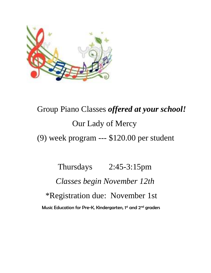

## Group Piano Classes *offered at your school!* Our Lady of Mercy

(9) week program --- \$120.00 per student

 Thursdays 2:45-3:15pm  *Classes begin November 12th* \*Registration due: November 1st Music Education for Pre-K, Kindergarten, 1st and 2nd graders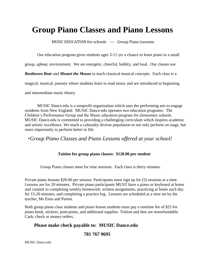## **Group Piano Classes and Piano Lessons**

MUSIC EDUCATION for schools ---- Group Piano Lessons

Our education program gives students ages 3-11 yrs a chance to learn piano in a small

group, upbeat, environment. We are energetic, cheerful, bubbly, and loud. Our classes use

*Beethoven Bear* and *Mozart the Mouse* to teach classical musical concepts. Each class is a

magical, musical, journey where students learn to read music and are introduced to beginning

and intermediate music theory.

 MUSIC Dance.edu is a nonprofit organization which uses the performing arts to engage residents from New England. MUSIC Dance.edu operates two education programs: The Children's Performance Group and the Music education program for elementary schools. MUSIC Dance.edu is committed to providing a challenging curriculum which inspires academic and artistic excellence. We teach a culturally diverse population to not only perform on stage, but more importantly to perform better in life.

\**Group Piano Classes and Piano Lessons offered at your school!*

## **Tuition for group piano classes: \$120.00 per student**

Group Piano classes meet for nine sessions. Each class is thirty minutes.

Private piano lessons \$20.00 per session. Participants must sign up for (5) sessions at a time. Lessons are for 20 minutes. Private piano participants MUST have a piano or keyboard at home and commit to completing weekly homework; written assignments, practicing at home each day for 15-20 minutes, and completing a practice log. Lessons are scheduled at a time set by the teacher, Ms Enos and Parent.

Both group piano class students and piano lesson students must pay a onetime fee of \$25 for piano book, stickers, pom-poms, and additional supplies. Tuition and fees are nonrefundable. Cash, check or money orders.

## **Please make check payable to: MUSIC Dance.edu**

 **781 767 9695** 

MUSIC Dance.edu